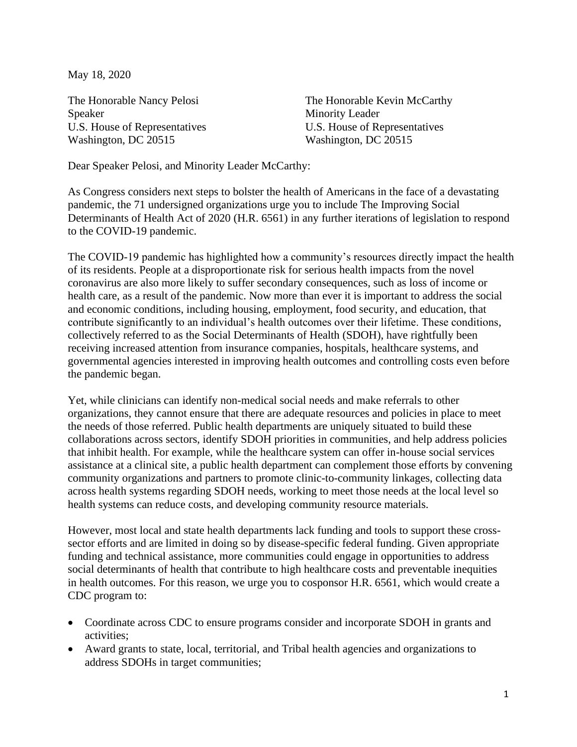May 18, 2020

The Honorable Nancy Pelosi Speaker U.S. House of Representatives Washington, DC 20515

The Honorable Kevin McCarthy Minority Leader U.S. House of Representatives Washington, DC 20515

Dear Speaker Pelosi, and Minority Leader McCarthy:

As Congress considers next steps to bolster the health of Americans in the face of a devastating pandemic, the 71 undersigned organizations urge you to include The Improving Social Determinants of Health Act of 2020 (H.R. 6561) in any further iterations of legislation to respond to the COVID-19 pandemic.

The COVID-19 pandemic has highlighted how a community's resources directly impact the health of its residents. People at a disproportionate risk for serious health impacts from the novel coronavirus are also more likely to suffer secondary consequences, such as loss of income or health care, as a result of the pandemic. Now more than ever it is important to address the social and economic conditions, including housing, employment, food security, and education, that contribute significantly to an individual's health outcomes over their lifetime. These conditions, collectively referred to as the Social Determinants of Health (SDOH), have rightfully been receiving increased attention from insurance companies, hospitals, healthcare systems, and governmental agencies interested in improving health outcomes and controlling costs even before the pandemic began.

Yet, while clinicians can identify non-medical social needs and make referrals to other organizations, they cannot ensure that there are adequate resources and policies in place to meet the needs of those referred. Public health departments are uniquely situated to build these collaborations across sectors, identify SDOH priorities in communities, and help address policies that inhibit health. For example, while the healthcare system can offer in-house social services assistance at a clinical site, a public health department can complement those efforts by convening community organizations and partners to promote clinic-to-community linkages, collecting data across health systems regarding SDOH needs, working to meet those needs at the local level so health systems can reduce costs, and developing community resource materials.

However, most local and state health departments lack funding and tools to support these crosssector efforts and are limited in doing so by disease-specific federal funding. Given appropriate funding and technical assistance, more communities could engage in opportunities to address social determinants of health that contribute to high healthcare costs and preventable inequities in health outcomes. For this reason, we urge you to cosponsor H.R. 6561, which would create a CDC program to:

- Coordinate across CDC to ensure programs consider and incorporate SDOH in grants and activities;
- Award grants to state, local, territorial, and Tribal health agencies and organizations to address SDOHs in target communities;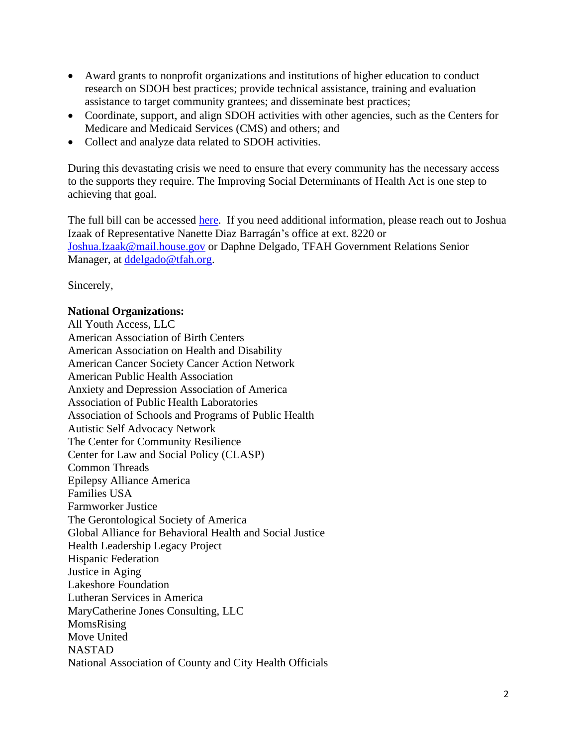- Award grants to nonprofit organizations and institutions of higher education to conduct research on SDOH best practices; provide technical assistance, training and evaluation assistance to target community grantees; and disseminate best practices;
- Coordinate, support, and align SDOH activities with other agencies, such as the Centers for Medicare and Medicaid Services (CMS) and others; and
- Collect and analyze data related to SDOH activities.

During this devastating crisis we need to ensure that every community has the necessary access to the supports they require. The Improving Social Determinants of Health Act is one step to achieving that goal.

The full bill can be accessed [here.](https://www.congress.gov/116/bills/hr6561/BILLS-116hr6561ih.pdf) If you need additional information, please reach out to Joshua Izaak of Representative Nanette Diaz Barragán's office at ext. 8220 or [Joshua.Izaak@mail.house.gov](mailto:Joshua.Izaak@mail.house.gov) or Daphne Delgado, TFAH Government Relations Senior Manager, at [ddelgado@tfah.org.](mailto:ddelgado@tfah.org)

Sincerely,

## **National Organizations:**

All Youth Access, LLC American Association of Birth Centers American Association on Health and Disability American Cancer Society Cancer Action Network American Public Health Association Anxiety and Depression Association of America Association of Public Health Laboratories Association of Schools and Programs of Public Health Autistic Self Advocacy Network The Center for Community Resilience Center for Law and Social Policy (CLASP) Common Threads Epilepsy Alliance America Families USA Farmworker Justice The Gerontological Society of America Global Alliance for Behavioral Health and Social Justice Health Leadership Legacy Project Hispanic Federation Justice in Aging Lakeshore Foundation Lutheran Services in America MaryCatherine Jones Consulting, LLC MomsRising Move United NASTAD National Association of County and City Health Officials